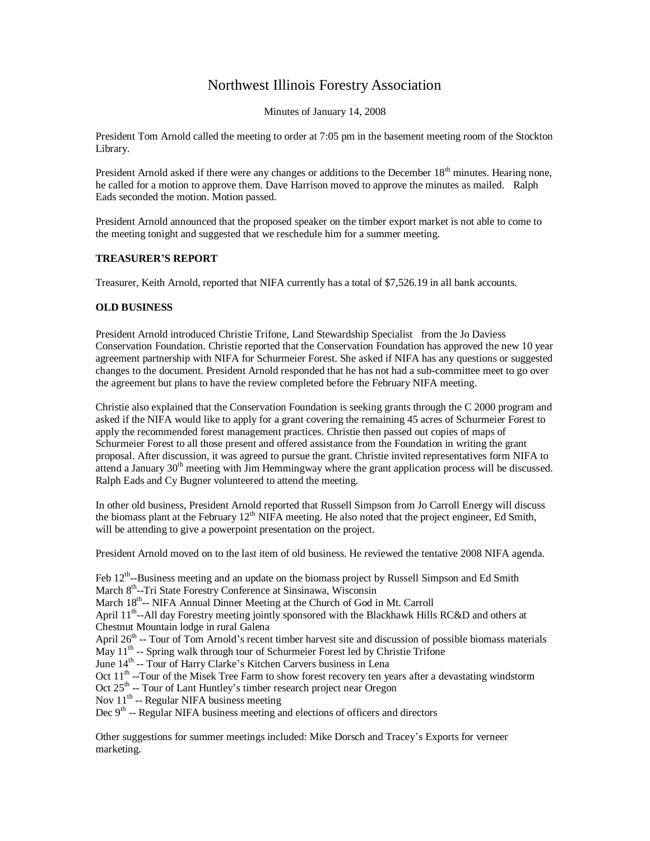## Northwest Illinois Forestry Association

Minutes of January 14, 2008

President Tom Arnold called the meeting to order at 7:05 pm in the basement meeting room of the Stockton Library.

President Arnold asked if there were any changes or additions to the December 18<sup>th</sup> minutes. Hearing none, he called for a motion to approve them. Dave Harrison moved to approve the minutes as mailed. Ralph Eads seconded the motion. Motion passed.

President Arnold announced that the proposed speaker on the timber export market is not able to come to the meeting tonight and suggested that we reschedule him for a summer meeting.

## **TREASURER'S REPORT**

Treasurer, Keith Arnold, reported that NIFA currently has a total of \$7,526.19 in all bank accounts.

## **OLD BUSINESS**

President Arnold introduced Christie Trifone, Land Stewardship Specialist from the Jo Daviess Conservation Foundation. Christie reported that the Conservation Foundation has approved the new 10 year agreement partnership with NIFA for Schurmeier Forest. She asked if NIFA has any questions or suggested changes to the document. President Arnold responded that he has not had a sub-committee meet to go over the agreement but plans to have the review completed before the February NIFA meeting.

Christie also explained that the Conservation Foundation is seeking grants through the C 2000 program and asked if the NIFA would like to apply for a grant covering the remaining 45 acres of Schurmeier Forest to apply the recommended forest management practices. Christie then passed out copies of maps of Schurmeier Forest to all those present and offered assistance from the Foundation in writing the grant proposal. After discussion, it was agreed to pursue the grant. Christie invited representatives form NIFA to attend a January  $30<sup>th</sup>$  meeting with Jim Hemmingway where the grant application process will be discussed. Ralph Eads and Cy Bugner volunteered to attend the meeting.

In other old business, President Arnold reported that Russell Simpson from Jo Carroll Energy will discuss the biomass plant at the February  $12<sup>th</sup>$  NIFA meeting. He also noted that the project engineer, Ed Smith, will be attending to give a powerpoint presentation on the project.

President Arnold moved on to the last item of old business. He reviewed the tentative 2008 NIFA agenda.

Feb  $12<sup>th</sup>$ --Business meeting and an update on the biomass project by Russell Simpson and Ed Smith March 8<sup>th</sup>--Tri State Forestry Conference at Sinsinawa, Wisconsin

March 18<sup>th</sup>-- NIFA Annual Dinner Meeting at the Church of God in Mt. Carroll

April 11<sup>th</sup>--All day Forestry meeting jointly sponsored with the Blackhawk Hills RC&D and others at Chestnut Mountain lodge in rural Galena

April  $26<sup>th</sup>$  -- Tour of Tom Arnold's recent timber harvest site and discussion of possible biomass materials May 11<sup>th</sup> -- Spring walk through tour of Schurmeier Forest led by Christie Trifone

June 14<sup>th</sup> -- Tour of Harry Clarke's Kitchen Carvers business in Lena

Oct  $11<sup>th</sup>$  --Tour of the Misek Tree Farm to show forest recovery ten years after a devastating windstorm

Oct 25<sup>th</sup> -- Tour of Lant Huntley's timber research project near Oregon

Nov  $11<sup>th</sup>$  -- Regular NIFA business meeting

Dec 9<sup>th</sup> -- Regular NIFA business meeting and elections of officers and directors

Other suggestions for summer meetings included: Mike Dorsch and Tracey's Exports for verneer marketing.